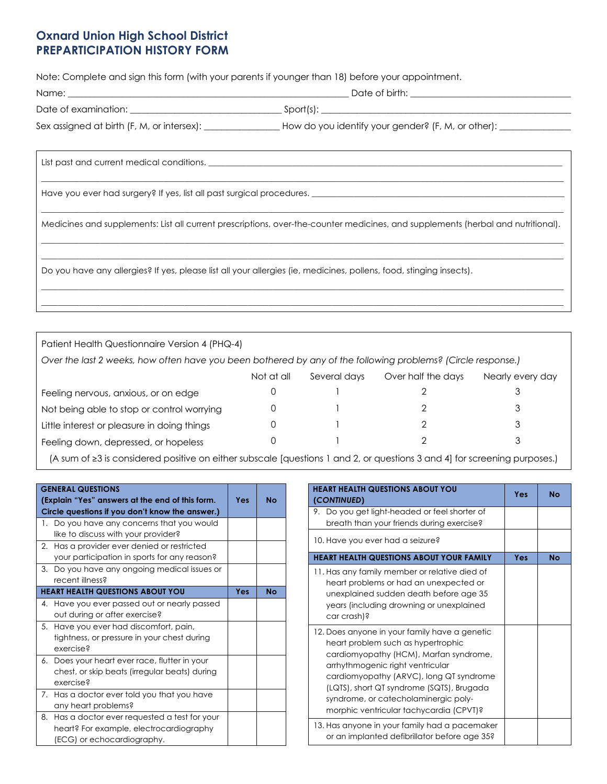# **Oxnard Union High School District PREPARTICIPATION HISTORY FORM**

Note: Complete and sign this form (with your parents if younger than 18) before your appointment.

| Name:                                      | Date of birth:                                     |  |  |
|--------------------------------------------|----------------------------------------------------|--|--|
| Date of examination:                       | Sport(s):                                          |  |  |
| Sex assigned at birth (F, M, or intersex): | How do you identify your gender? (F, M, or other): |  |  |

| List past and current medical conditions.                                                                                        |
|----------------------------------------------------------------------------------------------------------------------------------|
| Have you ever had surgery? If yes, list all past surgical procedures. ______________________________                             |
| Medicines and supplements: List all current prescriptions, over-the-counter medicines, and supplements (herbal and nutritional). |
| Do you have any allergies? If yes, please list all your allergies (ie, medicines, pollens, food, stinging insects).              |
|                                                                                                                                  |

| Patient Health Questionnaire Version 4 (PHQ-4)                                                               |  |  |  |   |  |  |  |  |
|--------------------------------------------------------------------------------------------------------------|--|--|--|---|--|--|--|--|
| Over the last 2 weeks, how often have you been bothered by any of the following problems? (Circle response.) |  |  |  |   |  |  |  |  |
| Over half the days<br>Not at all<br>Several days<br>Nearly every day                                         |  |  |  |   |  |  |  |  |
| Feeling nervous, anxious, or on edge                                                                         |  |  |  | 3 |  |  |  |  |
| Not being able to stop or control worrying                                                                   |  |  |  | 3 |  |  |  |  |
| Little interest or pleasure in doing things                                                                  |  |  |  | 3 |  |  |  |  |
| Feeling down, depressed, or hopeless                                                                         |  |  |  |   |  |  |  |  |

 $\_$  , and the state of the state of the state of the state of the state of the state of the state of the state of the state of the state of the state of the state of the state of the state of the state of the state of the

(A sum of ≥3 is considered positive on either subscale [questions 1 and 2, or questions 3 and 4] for screening purposes.)

| <b>GENERAL QUESTIONS</b><br>(Explain "Yes" answers at the end of this form.<br>Circle questions if you don't know the answer.) | <b>Yes</b> | <b>No</b> |
|--------------------------------------------------------------------------------------------------------------------------------|------------|-----------|
| 1. Do you have any concerns that you would<br>like to discuss with your provider?                                              |            |           |
| 2. Has a provider ever denied or restricted<br>your participation in sports for any reason?                                    |            |           |
| 3. Do you have any ongoing medical issues or<br>recent illness?                                                                |            |           |
| <b>HEART HEALTH QUESTIONS ABOUT YOU</b>                                                                                        | Yes        | <b>No</b> |
| 4. Have you ever passed out or nearly passed<br>out during or after exercise?                                                  |            |           |
| 5. Have you ever had discomfort, pain,<br>tightness, or pressure in your chest during<br>exercise?                             |            |           |
| 6. Does your heart ever race, flutter in your<br>chest, or skip beats (irregular beats) during<br>exercise?                    |            |           |
| 7. Has a doctor ever told you that you have<br>any heart problems?                                                             |            |           |
| Has a doctor ever requested a test for your<br>8.<br>heart? For example, electrocardiography<br>(ECG) or echocardiography.     |            |           |

| <b>HEART HEALTH QUESTIONS ABOUT YOU</b><br>(CONTINUED)                                                                                                                                                                                                                                                                                       | Yes | No        |
|----------------------------------------------------------------------------------------------------------------------------------------------------------------------------------------------------------------------------------------------------------------------------------------------------------------------------------------------|-----|-----------|
| 9. Do you get light-headed or feel shorter of<br>breath than your friends during exercise?                                                                                                                                                                                                                                                   |     |           |
| 10. Have you ever had a seizure?                                                                                                                                                                                                                                                                                                             |     |           |
| <b>HEART HEALTH QUESTIONS ABOUT YOUR FAMILY</b>                                                                                                                                                                                                                                                                                              | Yes | <b>No</b> |
| 11. Has any family member or relative died of<br>heart problems or had an unexpected or<br>unexplained sudden death before age 35<br>years (including drowning or unexplained<br>car crash)?                                                                                                                                                 |     |           |
| 12. Does anyone in your family have a genetic<br>heart problem such as hypertrophic<br>cardiomyopathy (HCM), Marfan syndrome,<br>arrhythmogenic right ventricular<br>cardiomyopathy (ARVC), long QT syndrome<br>(LQTS), short QT syndrome (SQTS), Brugada<br>syndrome, or catecholaminergic poly-<br>morphic ventricular tachycardia (CPVT)? |     |           |
| 13. Has anyone in your family had a pacemaker<br>or an implanted defibrillator before age 35?                                                                                                                                                                                                                                                |     |           |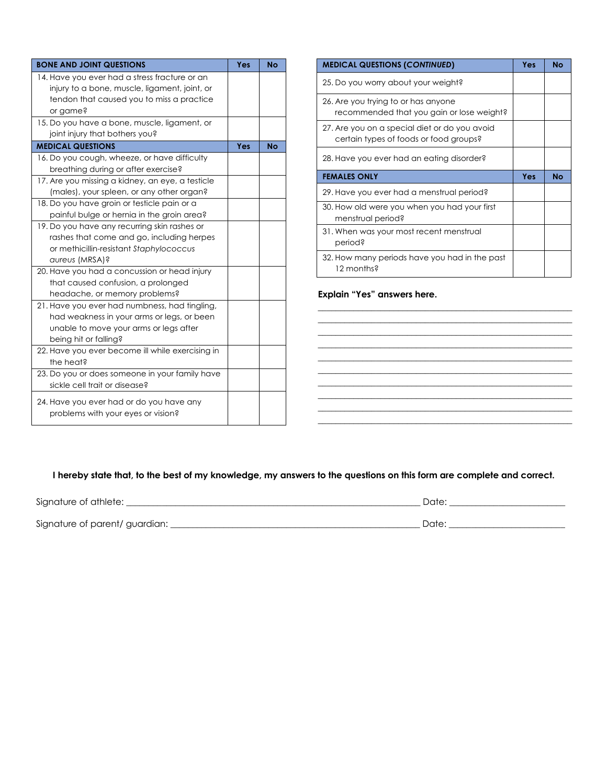| <b>BONE AND JOINT QUESTIONS</b>                  | Yes | <b>No</b> |
|--------------------------------------------------|-----|-----------|
| 14. Have you ever had a stress fracture or an    |     |           |
| injury to a bone, muscle, ligament, joint, or    |     |           |
| tendon that caused you to miss a practice        |     |           |
| or game?                                         |     |           |
| 15. Do you have a bone, muscle, ligament, or     |     |           |
| joint injury that bothers you?                   |     |           |
| <b>MEDICAL QUESTIONS</b>                         | Yes | <b>No</b> |
| 16. Do you cough, wheeze, or have difficulty     |     |           |
| breathing during or after exercise?              |     |           |
| 17. Are you missing a kidney, an eye, a testicle |     |           |
| (males), your spleen, or any other organ?        |     |           |
| 18. Do you have groin or testicle pain or a      |     |           |
| painful bulge or hernia in the groin area?       |     |           |
| 19. Do you have any recurring skin rashes or     |     |           |
| rashes that come and go, including herpes        |     |           |
| or methicillin-resistant Staphylococcus          |     |           |
| aureus (MRSA)?                                   |     |           |
| 20. Have you had a concussion or head injury     |     |           |
| that caused confusion, a prolonged               |     |           |
| headache, or memory problems?                    |     |           |
| 21. Have you ever had numbness, had tingling,    |     |           |
| had weakness in your arms or legs, or been       |     |           |
| unable to move your arms or legs after           |     |           |
| being hit or falling?                            |     |           |
| 22. Have you ever become ill while exercising in |     |           |
| the heat?                                        |     |           |
| 23. Do you or does someone in your family have   |     |           |
| sickle cell trait or disease?                    |     |           |
| 24. Have you ever had or do you have any         |     |           |
| problems with your eyes or vision?               |     |           |
|                                                  |     |           |

| <b>MEDICAL QUESTIONS (CONTINUED)</b>                                                    | Yes | <b>No</b> |
|-----------------------------------------------------------------------------------------|-----|-----------|
| 25. Do you worry about your weight?                                                     |     |           |
| 26. Are you trying to or has anyone<br>recommended that you gain or lose weight?        |     |           |
| 27. Are you on a special diet or do you avoid<br>certain types of foods or food groups? |     |           |
| 28. Have you ever had an eating disorder?                                               |     |           |
| <b>FEMALES ONLY</b>                                                                     | Yes | <b>No</b> |
| 29. Have you ever had a menstrual period?                                               |     |           |
| 30. How old were you when you had your first<br>menstrual period?                       |     |           |
| 31. When was your most recent menstrual<br>period?                                      |     |           |
| 32. How many periods have you had in the past<br>12 months?                             |     |           |

**\_\_\_\_\_\_\_\_\_\_\_\_\_\_\_\_\_\_\_\_\_\_\_\_\_\_\_\_\_\_\_\_\_\_\_\_\_\_\_\_\_\_\_\_\_\_\_\_\_\_\_\_\_\_\_\_\_ \_\_\_\_\_\_\_\_\_\_\_\_\_\_\_\_\_\_\_\_\_\_\_\_\_\_\_\_\_\_\_\_\_\_\_\_\_\_\_\_\_\_\_\_\_\_\_\_\_\_\_\_\_\_\_\_\_ \_\_\_\_\_\_\_\_\_\_\_\_\_\_\_\_\_\_\_\_\_\_\_\_\_\_\_\_\_\_\_\_\_\_\_\_\_\_\_\_\_\_\_\_\_\_\_\_\_\_\_\_\_\_\_\_\_**

**\_\_\_\_\_\_\_\_\_\_\_\_\_\_\_\_\_\_\_\_\_\_\_\_\_\_\_\_\_\_\_\_\_\_\_\_\_\_\_\_\_\_\_\_\_\_\_\_\_\_\_\_\_\_\_\_\_**

**\_\_\_\_\_\_\_\_\_\_\_\_\_\_\_\_\_\_\_\_\_\_\_\_\_\_\_\_\_\_\_\_\_\_\_\_\_\_\_\_\_\_\_\_\_\_\_\_\_\_\_\_\_\_\_\_\_ \_\_\_\_\_\_\_\_\_\_\_\_\_\_\_\_\_\_\_\_\_\_\_\_\_\_\_\_\_\_\_\_\_\_\_\_\_\_\_\_\_\_\_\_\_\_\_\_\_\_\_\_\_\_\_\_\_**

**\_\_\_\_\_\_\_\_\_\_\_\_\_\_\_\_\_\_\_\_\_\_\_\_\_\_\_\_\_\_\_\_\_\_\_\_\_\_\_\_\_\_\_\_\_\_\_\_\_\_\_\_\_\_\_\_\_**

#### **Explain "Yes" answers here.**

### **I hereby state that, to the best of my knowledge, my answers to the questions on this form are complete and correct.**

| Signature of athlete:         | Date: |
|-------------------------------|-------|
| Signature of parent/guardian: | Date: |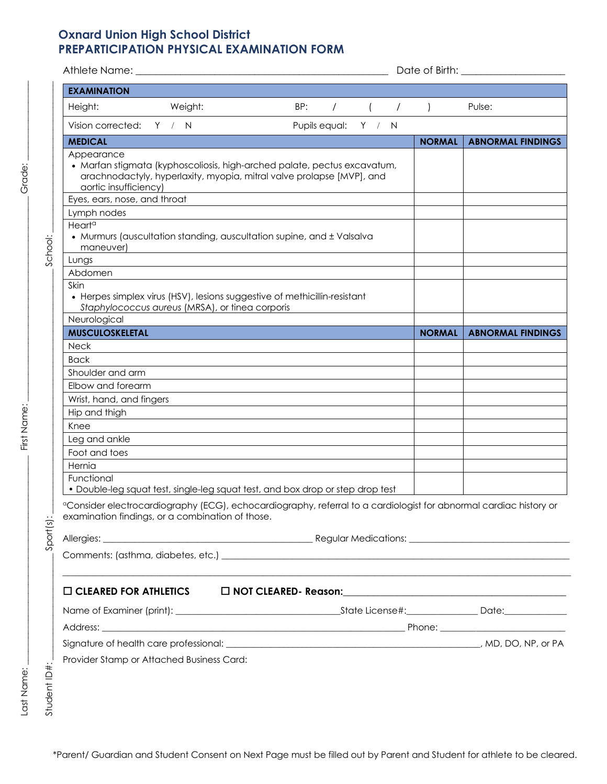# **Oxnard Union High School District PREPARTICIPATION PHYSICAL EXAMINATION FORM**

| <b>EXAMINATION</b>                               |                                                 |                                                                                                                                                   |                     |                                                  |               |                                                                                                                               |
|--------------------------------------------------|-------------------------------------------------|---------------------------------------------------------------------------------------------------------------------------------------------------|---------------------|--------------------------------------------------|---------------|-------------------------------------------------------------------------------------------------------------------------------|
| Height:                                          | Weight:                                         | BP:                                                                                                                                               |                     | $\left( \begin{array}{cccc} \end{array} \right)$ |               | Pulse:                                                                                                                        |
| Vision corrected: Y / N                          |                                                 |                                                                                                                                                   | Pupils equal: Y / N |                                                  |               |                                                                                                                               |
| <b>MEDICAL</b>                                   |                                                 |                                                                                                                                                   |                     |                                                  |               | <b>NORMAL   ABNORMAL FINDINGS</b>                                                                                             |
| Appearance<br>aortic insufficiency)              |                                                 | · Marfan stigmata (kyphoscoliosis, high-arched palate, pectus excavatum,<br>arachnodactyly, hyperlaxity, myopia, mitral valve prolapse [MVP], and |                     |                                                  |               |                                                                                                                               |
| Eyes, ears, nose, and throat                     |                                                 |                                                                                                                                                   |                     |                                                  |               |                                                                                                                               |
| Lymph nodes                                      |                                                 |                                                                                                                                                   |                     |                                                  |               |                                                                                                                               |
| Heart <sup>a</sup><br>maneuver)                  |                                                 | • Murmurs (auscultation standing, auscultation supine, and ± Valsalva                                                                             |                     |                                                  |               |                                                                                                                               |
| Lungs                                            |                                                 |                                                                                                                                                   |                     |                                                  |               |                                                                                                                               |
| Abdomen                                          |                                                 |                                                                                                                                                   |                     |                                                  |               |                                                                                                                               |
| <b>Skin</b>                                      | Staphylococcus aureus (MRSA), or tinea corporis | • Herpes simplex virus (HSV), lesions suggestive of methicillin-resistant                                                                         |                     |                                                  |               |                                                                                                                               |
| Neurological                                     |                                                 |                                                                                                                                                   |                     |                                                  |               |                                                                                                                               |
| <b>MUSCULOSKELETAL</b>                           |                                                 |                                                                                                                                                   |                     |                                                  | <b>NORMAL</b> | <b>ABNORMAL FINDINGS</b>                                                                                                      |
| <b>Neck</b>                                      |                                                 |                                                                                                                                                   |                     |                                                  |               |                                                                                                                               |
| Back                                             |                                                 |                                                                                                                                                   |                     |                                                  |               |                                                                                                                               |
| Shoulder and arm                                 |                                                 |                                                                                                                                                   |                     |                                                  |               |                                                                                                                               |
| Elbow and forearm                                |                                                 |                                                                                                                                                   |                     |                                                  |               |                                                                                                                               |
| Wrist, hand, and fingers                         |                                                 |                                                                                                                                                   |                     |                                                  |               |                                                                                                                               |
| Hip and thigh                                    |                                                 |                                                                                                                                                   |                     |                                                  |               |                                                                                                                               |
| Knee                                             |                                                 |                                                                                                                                                   |                     |                                                  |               |                                                                                                                               |
| Leg and ankle                                    |                                                 |                                                                                                                                                   |                     |                                                  |               |                                                                                                                               |
| Foot and toes                                    |                                                 |                                                                                                                                                   |                     |                                                  |               |                                                                                                                               |
| Hernia<br>Functional                             |                                                 |                                                                                                                                                   |                     |                                                  |               |                                                                                                                               |
|                                                  |                                                 | . Double-leg squat test, single-leg squat test, and box drop or step drop test                                                                    |                     |                                                  |               |                                                                                                                               |
| examination findings, or a combination of those. |                                                 |                                                                                                                                                   |                     |                                                  |               | <sup>a</sup> Consider electrocardiography (ECG), echocardiography, referral to a cardiologist for abnormal cardiac history or |
|                                                  |                                                 |                                                                                                                                                   |                     |                                                  |               |                                                                                                                               |
|                                                  |                                                 |                                                                                                                                                   |                     |                                                  |               |                                                                                                                               |
| $\square$ CLEARED FOR ATHLETICS                  |                                                 |                                                                                                                                                   |                     |                                                  |               |                                                                                                                               |
|                                                  |                                                 |                                                                                                                                                   |                     |                                                  |               |                                                                                                                               |
|                                                  |                                                 |                                                                                                                                                   |                     |                                                  |               |                                                                                                                               |
|                                                  |                                                 |                                                                                                                                                   |                     |                                                  |               |                                                                                                                               |
|                                                  |                                                 |                                                                                                                                                   |                     |                                                  |               |                                                                                                                               |
| Provider Stamp or Attached Business Card:        |                                                 |                                                                                                                                                   |                     |                                                  |               |                                                                                                                               |
|                                                  |                                                 |                                                                                                                                                   |                     |                                                  |               |                                                                                                                               |
|                                                  |                                                 |                                                                                                                                                   |                     |                                                  |               |                                                                                                                               |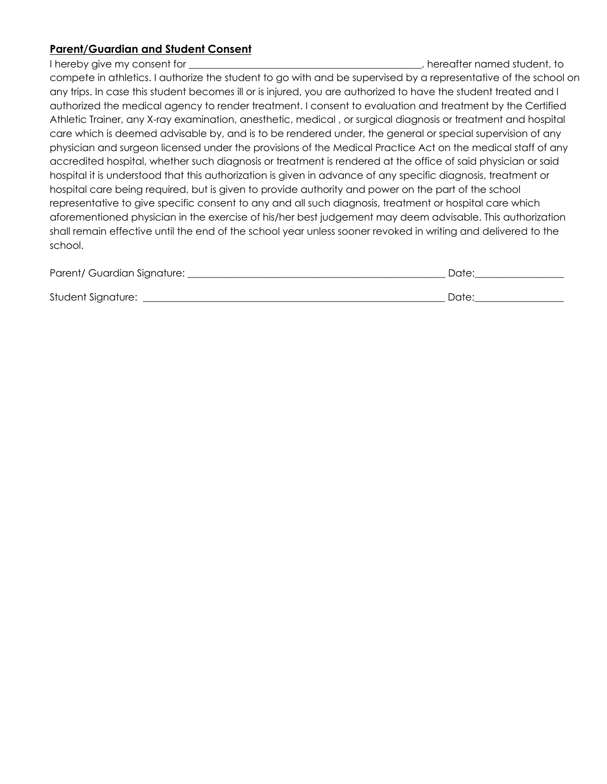### **Parent/Guardian and Student Consent**

I hereby give my consent for **EXALL EXALL EXACL** EXACL EXACL EXACL EXACL EXACL EXACL EXACL EXACL EXACL EXACL EXACL

compete in athletics. I authorize the student to go with and be supervised by a representative of the school on any trips. In case this student becomes ill or is injured, you are authorized to have the student treated and I authorized the medical agency to render treatment. I consent to evaluation and treatment by the Certified Athletic Trainer, any X-ray examination, anesthetic, medical , or surgical diagnosis or treatment and hospital care which is deemed advisable by, and is to be rendered under, the general or special supervision of any physician and surgeon licensed under the provisions of the Medical Practice Act on the medical staff of any accredited hospital, whether such diagnosis or treatment is rendered at the office of said physician or said hospital it is understood that this authorization is given in advance of any specific diagnosis, treatment or hospital care being required, but is given to provide authority and power on the part of the school representative to give specific consent to any and all such diagnosis, treatment or hospital care which aforementioned physician in the exercise of his/her best judgement may deem advisable. This authorization shall remain effective until the end of the school year unless sooner revoked in writing and delivered to the school.

| Parent/ Guardian Signature: | Date: |
|-----------------------------|-------|
| Student Signature:          | Date: |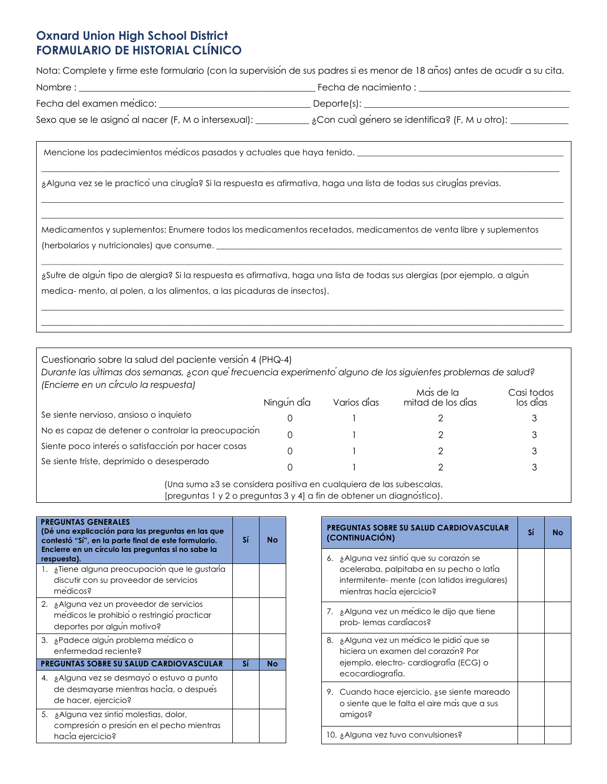# **Oxnard Union High School District FORMULARIO DE HISTORIAL CLÍNICO**

Nota: Complete y firme este formulario (con la supervisión de sus padres si es menor de 18 años) antes de acudir a su cita. Nombre : \_\_\_\_\_\_\_\_\_\_\_\_\_\_\_\_\_\_\_\_\_\_\_\_\_\_\_\_\_\_\_\_\_\_\_\_\_\_\_\_\_\_\_\_\_\_\_\_\_\_\_\_\_ Fecha de nacimiento : \_\_\_\_\_\_\_\_\_\_\_\_\_\_\_\_\_\_\_\_\_\_\_\_\_\_\_\_\_\_\_\_\_\_

 $\_$  , and the state of the state of the state of the state of the state of the state of the state of the state of the state of the state of the state of the state of the state of the state of the state of the state of the

 $\_$  , and the state of the state of the state of the state of the state of the state of the state of the state of the state of the state of the state of the state of the state of the state of the state of the state of the  $\_$  , and the set of the set of the set of the set of the set of the set of the set of the set of the set of the set of the set of the set of the set of the set of the set of the set of the set of the set of the set of th

| Fecha del examen medico: | Deporte(s): |
|--------------------------|-------------|
|                          |             |

Sexo que se le asigno al nacer (F, M o intersexual): \_\_\_\_\_\_\_\_\_\_\_\_ ¿Con cual genero se identifica? (F, M u otro): \_\_\_\_\_\_\_\_\_\_\_\_

Mencione los padecimientos médicos pasados y actuales que haya tenido. \_\_\_\_\_\_\_\_\_\_\_\_\_\_\_\_\_\_\_\_\_\_\_\_\_\_\_\_\_\_\_\_\_\_\_\_\_\_\_\_\_\_\_\_\_\_\_\_\_

¿Alguna vez se le practicóuna cirugía? Si la respuesta es afirmativa, haga una lista de todas sus cirugías previas.

Medicamentos y suplementos: Enumere todos los medicamentos recetados, medicamentos de venta libre y suplementos (herbolarios y nutricionales) que consume.

¿Sufre de algún tipo de alergia? Si la respuesta es afirmativa, haga una lista de todas sus alergias (por ejemplo, a algún medica- mento, al polen, a los alimentos, a las picaduras de insectos).

 $\_$  , and the state of the state of the state of the state of the state of the state of the state of the state of the state of the state of the state of the state of the state of the state of the state of the state of the  $\_$  , and the state of the state of the state of the state of the state of the state of the state of the state of the state of the state of the state of the state of the state of the state of the state of the state of the

Cuestionario sobre la salud del paciente versión 4 (PHQ-4)

*Durante las últimas dos semanas, ¿con quéfrecuencia experimentóalguno de los siguientes problemas de salud? (Encierre en un círculo la respuesta)* 

|                                                    | Ningun dia | Varios dias | Mas de la<br>mitad de los dias | Casi todos<br>los dias |
|----------------------------------------------------|------------|-------------|--------------------------------|------------------------|
| Se siente nervioso, ansioso o inquieto             |            |             |                                |                        |
| No es capaz de detener o controlar la preocupación |            |             |                                |                        |
| Siente poco interes o satisfacción por hacer cosas |            |             |                                |                        |
| Se siente triste, deprimido o desesperado          |            |             |                                |                        |

(Una suma ≥3 se considera positiva en cualquiera de las subescalas, [preguntas 1 y 2 o preguntas 3 y 4] a fin de obtener un diagnóstico).

| <b>PREGUNTAS GENERALES</b><br>(Dé una explicación para las preguntas en las que<br>contestó "Sí", en la parte final de este formulario.<br>Encierre en un círculo las preguntas si no sabe la<br>respuesta). | Sí | <b>No</b> |
|--------------------------------------------------------------------------------------------------------------------------------------------------------------------------------------------------------------|----|-----------|
| 1. ¿Tiene alguna preocupación que le gustaría<br>discutir con su proveedor de servicios<br>medicos?                                                                                                          |    |           |
| 2. ¿Alguna vez un proveedor de servicios<br>medicos le prohibio o restringio practicar<br>deportes por algun motivo?                                                                                         |    |           |
| 3. ¿Padece algun problema medico o<br>enfermedad reciente?                                                                                                                                                   |    |           |
| <b>PREGUNTAS SOBRE SU SALUD CARDIOVASCULAR</b>                                                                                                                                                               | Sí | <b>No</b> |
| 4. ¿Alguna vez se desmayo o estuvo a punto<br>de desmayarse mientras hacia, o después<br>de hacer, ejercicio?                                                                                                |    |           |
| 5. ¿Alguna vez sintio molestias, dolor,<br>compresión o presión en el pecho mientras<br>hacia ejercicio?                                                                                                     |    |           |

| <b>PREGUNTAS SOBRE SU SALUD CARDIOVASCULAR</b><br>(CONTINUACIÓN)                                                                                                 | Sí | Nο |
|------------------------------------------------------------------------------------------------------------------------------------------------------------------|----|----|
| 6. ¿Alguna vez sintio que su corazon se<br>aceleraba, palpitaba en su pecho o latía<br>intermitente-mente (con latidos irregulares)<br>mientras hacia ejercicio? |    |    |
| 7. ¿Alguna vez un medico le dijo que tiene<br>prob-lemas cardíacos?                                                                                              |    |    |
| ¿Alguna vez un medico le pidio que se<br>8.<br>hiciera un examen del corazon? Por<br>ejemplo, electro-cardiografia (ECG) o<br>ecocardiografia.                   |    |    |
| 9. Cuando hace ejercicio, ase siente mareado<br>o siente que le falta el aire mas que a sus<br>amigos?                                                           |    |    |
| 10. ¿Alguna vez tuvo convulsiones?                                                                                                                               |    |    |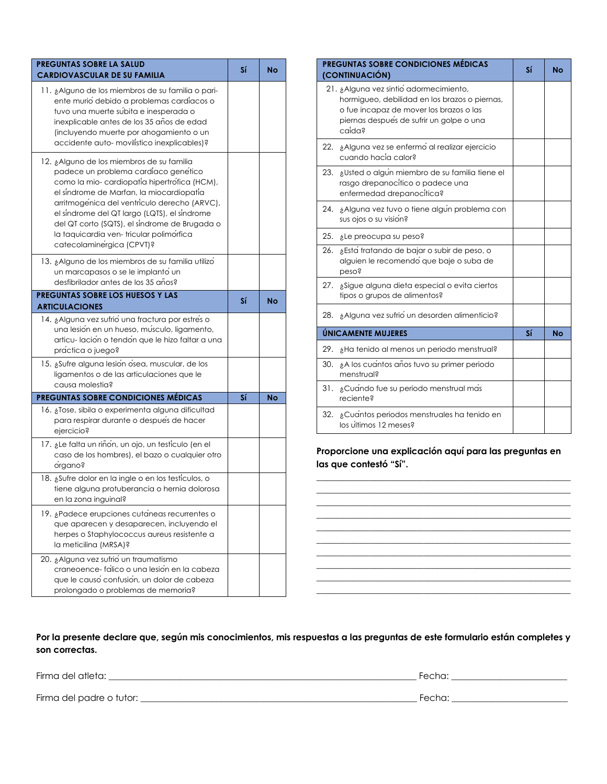| PREGUNTAS SOBRE LA SALUD<br><b>CARDIOVASCULAR DE SU FAMILIA</b>                                                                                                                                                                                                                                                                                                                                       | Sí | No |
|-------------------------------------------------------------------------------------------------------------------------------------------------------------------------------------------------------------------------------------------------------------------------------------------------------------------------------------------------------------------------------------------------------|----|----|
| 11. ¿Alguno de los miembros de su familia o pari-<br>ente murio debido a problemas cardíacos o<br>tuvo una muerte subita e inesperada o<br>inexplicable antes de los 35 años de edad<br>(incluyendo muerte por ahogamiento o un<br>accidente auto- movilístico inexplicables)?                                                                                                                        |    |    |
| 12. ¿Alguno de los miembros de su familia<br>padece un problema cardíaco genetico<br>como la mio-cardiopatía hipertrofica (HCM),<br>el síndrome de Marfan, la miocardiopatía<br>arritmogénica del ventrículo derecho (ARVC),<br>el sindrome del QT largo (LQTS), el sindrome<br>del QT corto (SQTS), el síndrome de Brugada o<br>la taquicardia ven-tricular polimorfica<br>catecolaminergica (CPVT)? |    |    |
| 13. ¿Alguno de los miembros de su familia utilizo<br>un marcapasos o se le implanto un<br>desfibrilador antes de los 35 años?                                                                                                                                                                                                                                                                         |    |    |
| PREGUNTAS SOBRE LOS HUESOS Y LAS<br><b>ARTICULACIONES</b>                                                                                                                                                                                                                                                                                                                                             | Sí | No |
| 14. ¿Alguna vez sufrio una fractura por estres o<br>una lesión en un hueso, músculo, ligamento,<br>articu-lación o tendón que le hizo faltar a una<br>práctica o juego?                                                                                                                                                                                                                               |    |    |
| 15. ¿Sufre alguna lesión ósea, muscular, de los<br>ligamentos o de las articulaciones que le<br>causa molestia?                                                                                                                                                                                                                                                                                       |    |    |
| <b>PREGUNTAS SOBRE CONDICIONES MÉDICAS</b>                                                                                                                                                                                                                                                                                                                                                            | Sí | No |
| 16. ¿Tose, sibila o experimenta alguna dificultad<br>para respirar durante o despues de hacer<br>ejercicio?                                                                                                                                                                                                                                                                                           |    |    |
| 17. ¿Le falta un riñon, un ojo, un testículo (en el<br>caso de los hombres), el bazo o cualquier otro<br>organo?                                                                                                                                                                                                                                                                                      |    |    |
| 18. ¿Sufre dolor en la ingle o en los testículos, o<br>tiene alguna protuberancia o hernia dolorosa<br>en la zona inguinal?                                                                                                                                                                                                                                                                           |    |    |
| 19. ¿Padece erupciones cutaneas recurrentes o<br>que aparecen y desaparecen, incluyendo el<br>herpes o Staphylococcus aureus resistente a<br>la meticilina (MRSA)?                                                                                                                                                                                                                                    |    |    |
| 20. ¿Alguna vez sufrio un traumatismo<br>craneoence- fálico o una lesión en la cabeza<br>que le causo confusión, un dolor de cabeza<br>prolongado o problemas de memoria?                                                                                                                                                                                                                             |    |    |

| <b>PREGUNTAS SOBRE CONDICIONES MÉDICAS</b><br>(CONTINUACIÓN)                                                                                                                             | Sí | Nο |  |
|------------------------------------------------------------------------------------------------------------------------------------------------------------------------------------------|----|----|--|
| 21. ¿Alguna vez sintio adormecimiento,<br>hormigueo, debilidad en los brazos o piernas,<br>o fue incapaz de mover los brazos o las<br>piernas después de sufrir un golpe o una<br>caida? |    |    |  |
| 22. ¿Alguna vez se enfermo al realizar ejercicio<br>cuando hacía calor?                                                                                                                  |    |    |  |
| ¿Usted o algun miembro de su familia tiene el<br>23.<br>rasgo drepanocítico o padece una<br>enfermedad drepanocitica?                                                                    |    |    |  |
| 24. ¿Alguna vez tuvo o tiene algun problema con<br>sus ojos o su visión?                                                                                                                 |    |    |  |
| 25.<br>¿Le preocupa su peso?                                                                                                                                                             |    |    |  |
| 26.<br>¿Esta tratando de bajar o subir de peso, o<br>alguien le recomendo que baje o suba de<br>peso?                                                                                    |    |    |  |
| 27. ¿Sigue alguna dieta especial o evita ciertos<br>tipos o grupos de alimentos?                                                                                                         |    |    |  |
| ¿Alguna vez sufrio un desorden alimenticio?<br>28.                                                                                                                                       |    |    |  |
| ÚNICAMENTE MUJERES                                                                                                                                                                       | Sí | No |  |
| 29.<br>¿Ha tenido al menos un periodo menstrual?                                                                                                                                         |    |    |  |
| ¿A los cuantos años tuvo su primer periodo<br>30.<br>menstrual?                                                                                                                          |    |    |  |
| 31. ¿Cuando fue su periodo menstrual mas<br>reciente?                                                                                                                                    |    |    |  |
| 32.<br>¿Cuantos periodos menstruales ha tenido en<br>los últimos 12 meses?                                                                                                               |    |    |  |

**Proporcione una explicación aquí para las preguntas en las que contestó "Sí".**

**\_\_\_\_\_\_\_\_\_\_\_\_\_\_\_\_\_\_\_\_\_\_\_\_\_\_\_\_\_\_\_\_\_\_\_\_\_\_\_\_\_\_\_\_\_\_\_\_\_\_\_\_\_\_\_\_\_**

**\_\_\_\_\_\_\_\_\_\_\_\_\_\_\_\_\_\_\_\_\_\_\_\_\_\_\_\_\_\_\_\_\_\_\_\_\_\_\_\_\_\_\_\_\_\_\_\_\_\_\_\_\_\_\_\_\_ \_\_\_\_\_\_\_\_\_\_\_\_\_\_\_\_\_\_\_\_\_\_\_\_\_\_\_\_\_\_\_\_\_\_\_\_\_\_\_\_\_\_\_\_\_\_\_\_\_\_\_\_\_\_\_\_\_**

**\_\_\_\_\_\_\_\_\_\_\_\_\_\_\_\_\_\_\_\_\_\_\_\_\_\_\_\_\_\_\_\_\_\_\_\_\_\_\_\_\_\_\_\_\_\_\_\_\_\_\_\_\_\_\_\_\_**

**\_\_\_\_\_\_\_\_\_\_\_\_\_\_\_\_\_\_\_\_\_\_\_\_\_\_\_\_\_\_\_\_\_\_\_\_\_\_\_\_\_\_\_\_\_\_\_\_\_\_\_\_\_\_\_\_\_**

### **Por la presente declare que, según mis conocimientos, mis respuestas a las preguntas de este formulario están completes y son correctas.**

Firma del atleta: \_\_\_\_\_\_\_\_\_\_\_\_\_\_\_\_\_\_\_\_\_\_\_\_\_\_\_\_\_\_\_\_\_\_\_\_\_\_\_\_\_\_\_\_\_\_\_\_\_\_\_\_\_\_\_\_\_\_\_\_\_\_\_\_\_\_\_\_\_ Fecha: \_\_\_\_\_\_\_\_\_\_\_\_\_\_\_\_\_\_\_\_\_\_\_\_\_\_

Firma del padre o tutor: \_\_\_\_\_\_\_\_\_\_\_\_\_\_\_\_\_\_\_\_\_\_\_\_\_\_\_\_\_\_\_\_\_\_\_\_\_\_\_\_\_\_\_\_\_\_\_\_\_\_\_\_\_\_\_\_\_\_\_\_\_\_ Fecha: \_\_\_\_\_\_\_\_\_\_\_\_\_\_\_\_\_\_\_\_\_\_\_\_\_\_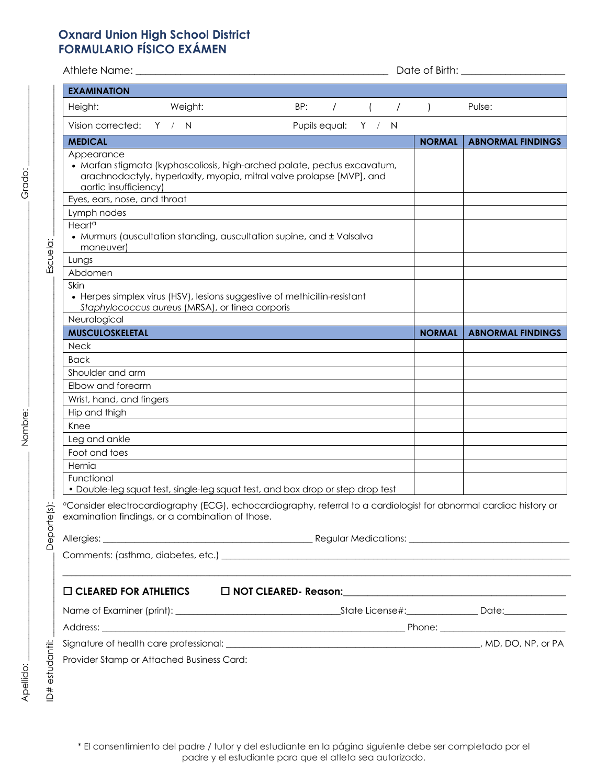## **Oxnard Union High School District FORMULARIO FÍSICO EXÁMEN**

| <b>EXAMINATION</b>                               |                                                 |                                                                                                                                                   |                         |  |                |                                   |  |
|--------------------------------------------------|-------------------------------------------------|---------------------------------------------------------------------------------------------------------------------------------------------------|-------------------------|--|----------------|-----------------------------------|--|
| Height:                                          | Weight:                                         | BP:                                                                                                                                               | $\sqrt{2}$ ( $\sqrt{2}$ |  | $\overline{)}$ | Pulse:                            |  |
| Vision corrected: Y / N                          |                                                 | Pupils equal: Y / N                                                                                                                               |                         |  |                |                                   |  |
| <b>MEDICAL</b>                                   |                                                 |                                                                                                                                                   |                         |  |                | <b>NORMAL   ABNORMAL FINDINGS</b> |  |
| Appearance<br>aortic insufficiency)              |                                                 | • Marfan stigmata (kyphoscoliosis, high-arched palate, pectus excavatum,<br>arachnodactyly, hyperlaxity, myopia, mitral valve prolapse [MVP], and |                         |  |                |                                   |  |
| Eyes, ears, nose, and throat                     |                                                 |                                                                                                                                                   |                         |  |                |                                   |  |
| Lymph nodes                                      |                                                 |                                                                                                                                                   |                         |  |                |                                   |  |
| Heart <sup>a</sup><br>maneuver)                  |                                                 | • Murmurs (auscultation standing, auscultation supine, and ± Valsalva                                                                             |                         |  |                |                                   |  |
| Lungs                                            |                                                 |                                                                                                                                                   |                         |  |                |                                   |  |
| Abdomen                                          |                                                 |                                                                                                                                                   |                         |  |                |                                   |  |
| Skin                                             | Staphylococcus aureus (MRSA), or tinea corporis | • Herpes simplex virus (HSV), lesions suggestive of methicillin-resistant                                                                         |                         |  |                |                                   |  |
| Neurological                                     |                                                 |                                                                                                                                                   |                         |  |                |                                   |  |
| <b>MUSCULOSKELETAL</b>                           |                                                 |                                                                                                                                                   |                         |  | <b>NORMAL</b>  | <b>ABNORMAL FINDINGS</b>          |  |
| <b>Neck</b>                                      |                                                 |                                                                                                                                                   |                         |  |                |                                   |  |
| <b>Back</b>                                      |                                                 |                                                                                                                                                   |                         |  |                |                                   |  |
| Shoulder and arm                                 |                                                 |                                                                                                                                                   |                         |  |                |                                   |  |
| Elbow and forearm                                |                                                 |                                                                                                                                                   |                         |  |                |                                   |  |
| Wrist, hand, and fingers                         |                                                 |                                                                                                                                                   |                         |  |                |                                   |  |
| Hip and thigh                                    |                                                 |                                                                                                                                                   |                         |  |                |                                   |  |
| Knee                                             |                                                 |                                                                                                                                                   |                         |  |                |                                   |  |
| Leg and ankle                                    |                                                 |                                                                                                                                                   |                         |  |                |                                   |  |
| Foot and toes                                    |                                                 |                                                                                                                                                   |                         |  |                |                                   |  |
| Hernia                                           |                                                 |                                                                                                                                                   |                         |  |                |                                   |  |
| Functional                                       |                                                 | • Double-leg squat test, single-leg squat test, and box drop or step drop test                                                                    |                         |  |                |                                   |  |
|                                                  |                                                 |                                                                                                                                                   |                         |  |                |                                   |  |
| examination findings, or a combination of those. |                                                 | <sup>o</sup> Consider electrocardiography (ECG), echocardiography, referral to a cardiologist for abnormal cardiac history or                     |                         |  |                |                                   |  |
|                                                  |                                                 |                                                                                                                                                   |                         |  |                |                                   |  |
|                                                  |                                                 |                                                                                                                                                   |                         |  |                |                                   |  |
|                                                  |                                                 | <u> 1989 - Jan James James James James James James James James James James James James James James James James J</u>                              |                         |  |                |                                   |  |
|                                                  |                                                 |                                                                                                                                                   |                         |  |                |                                   |  |
|                                                  |                                                 |                                                                                                                                                   |                         |  |                |                                   |  |
|                                                  |                                                 |                                                                                                                                                   |                         |  |                |                                   |  |
|                                                  |                                                 |                                                                                                                                                   |                         |  |                |                                   |  |
| Provider Stamp or Attached Business Card:        |                                                 |                                                                                                                                                   |                         |  |                |                                   |  |

Grado:

Nombre: